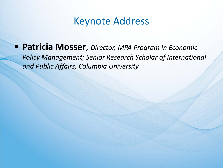## Keynote Address

 **Patricia Mosser**, *Director, MPA Program in Economic Policy Management; Senior Research Scholar of International and Public Affairs, Columbia University*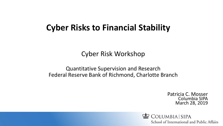## **Cyber Risks to Financial Stability**

Cyber Risk Workshop

Quantitative Supervision and Research Federal Reserve Bank of Richmond, Charlotte Branch

> Patricia C. Mosser Columbia SIPA March 28, 2019

COLUMBIA SIPA School of International and Public Affairs